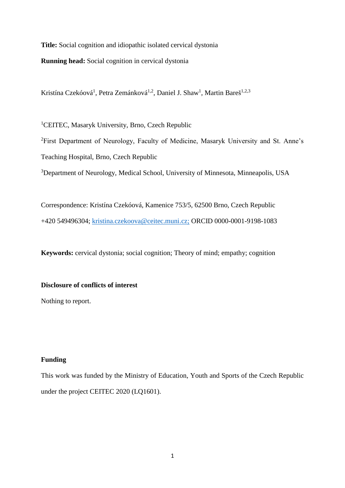**Title:** Social cognition and idiopathic isolated cervical dystonia **Running head:** Social cognition in cervical dystonia

Kristína Czekóová<sup>1</sup>, Petra Zemánková<sup>1,2</sup>, Daniel J. Shaw<sup>1</sup>, Martin Bareš<sup>1,2,3</sup>

<sup>1</sup>CEITEC, Masaryk University, Brno, Czech Republic

<sup>2</sup>First Department of Neurology, Faculty of Medicine, Masaryk University and St. Anne's Teaching Hospital, Brno, Czech Republic

<sup>3</sup>Department of Neurology, Medical School, University of Minnesota, Minneapolis, USA

Correspondence: Kristína Czekóová, Kamenice 753/5, 62500 Brno, Czech Republic +420 549496304; [kristina.czekoova@ceitec.muni.cz;](mailto:kristina.czekoova@ceitec.muni.cz) ORCID 0000-0001-9198-1083

**Keywords:** cervical dystonia; social cognition; Theory of mind; empathy; cognition

# **Disclosure of conflicts of interest**

Nothing to report.

# **Funding**

This work was funded by the Ministry of Education, Youth and Sports of the Czech Republic under the project CEITEC 2020 (LQ1601).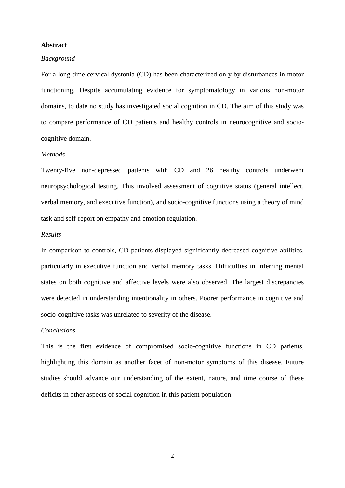### **Abstract**

#### *Background*

For a long time cervical dystonia (CD) has been characterized only by disturbances in motor functioning. Despite accumulating evidence for symptomatology in various non-motor domains, to date no study has investigated social cognition in CD. The aim of this study was to compare performance of CD patients and healthy controls in neurocognitive and sociocognitive domain.

### *Methods*

Twenty-five non-depressed patients with CD and 26 healthy controls underwent neuropsychological testing. This involved assessment of cognitive status (general intellect, verbal memory, and executive function), and socio-cognitive functions using a theory of mind task and self-report on empathy and emotion regulation.

#### *Results*

In comparison to controls, CD patients displayed significantly decreased cognitive abilities, particularly in executive function and verbal memory tasks. Difficulties in inferring mental states on both cognitive and affective levels were also observed. The largest discrepancies were detected in understanding intentionality in others. Poorer performance in cognitive and socio-cognitive tasks was unrelated to severity of the disease.

### *Conclusions*

This is the first evidence of compromised socio-cognitive functions in CD patients, highlighting this domain as another facet of non-motor symptoms of this disease. Future studies should advance our understanding of the extent, nature, and time course of these deficits in other aspects of social cognition in this patient population.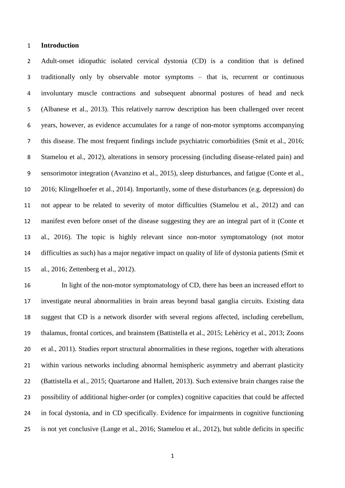## **Introduction**

 Adult-onset idiopathic isolated cervical dystonia (CD) is a condition that is defined traditionally only by observable motor symptoms – that is, recurrent or continuous involuntary muscle contractions and subsequent abnormal postures of head and neck (Albanese et al., 2013). This relatively narrow description has been challenged over recent years, however, as evidence accumulates for a range of non-motor symptoms accompanying this disease. The most frequent findings include psychiatric comorbidities (Smit et al., 2016; Stamelou et al., 2012), alterations in sensory processing (including disease-related pain) and sensorimotor integration (Avanzino et al., 2015), sleep disturbances, and fatigue (Conte et al., 2016; Klingelhoefer et al., 2014). Importantly, some of these disturbances (e.g. depression) do not appear to be related to severity of motor difficulties (Stamelou et al., 2012) and can manifest even before onset of the disease suggesting they are an integral part of it (Conte et al., 2016). The topic is highly relevant since non-motor symptomatology (not motor difficulties as such) has a major negative impact on quality of life of dystonia patients (Smit et al., 2016; Zettenberg et al., 2012).

 In light of the non-motor symptomatology of CD, there has been an increased effort to investigate neural abnormalities in brain areas beyond basal ganglia circuits. Existing data suggest that CD is a network disorder with several regions affected, including cerebellum, thalamus, frontal cortices, and brainstem (Battistella et al., 2015; Lehèricy et al., 2013; Zoons et al., 2011). Studies report structural abnormalities in these regions, together with alterations within various networks including abnormal hemispheric asymmetry and aberrant plasticity (Battistella et al., 2015; Quartarone and Hallett, 2013). Such extensive brain changes raise the possibility of additional higher-order (or complex) cognitive capacities that could be affected in focal dystonia, and in CD specifically. Evidence for impairments in cognitive functioning is not yet conclusive (Lange et al., 2016; Stamelou et al., 2012), but subtle deficits in specific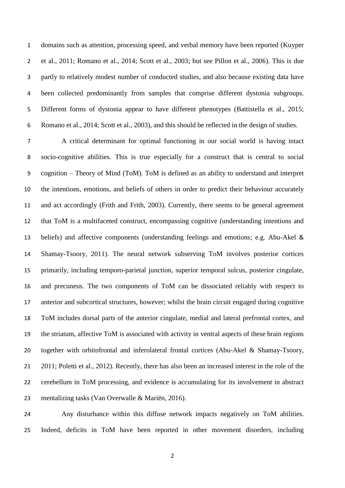domains such as attention, processing speed, and verbal memory have been reported (Kuyper et al., 2011; Romano et al., 2014; Scott et al., 2003; but see Pillon et al., 2006). This is due partly to relatively modest number of conducted studies, and also because existing data have been collected predominantly from samples that comprise different dystonia subgroups. Different forms of dystonia appear to have different phenotypes (Battistella et al., 2015; Romano et al., 2014; Scott et al., 2003), and this should be reflected in the design of studies.

 A critical determinant for optimal functioning in our social world is having intact socio-cognitive abilities. This is true especially for a construct that is central to social cognition – Theory of Mind (ToM). ToM is defined as an ability to understand and interpret the intentions, emotions, and beliefs of others in order to predict their behaviour accurately and act accordingly (Frith and Frith, 2003). Currently, there seems to be general agreement that ToM is a multifaceted construct, encompassing cognitive (understanding intentions and beliefs) and affective components (understanding feelings and emotions; e.g. Abu-Akel & Shamay-Tsoory, 2011). The neural network subserving ToM involves posterior cortices primarily, including temporo-parietal junction, superior temporal sulcus, posterior cingulate, and precuneus. The two components of ToM can be dissociated reliably with respect to anterior and subcortical structures, however; whilst the brain circuit engaged during cognitive ToM includes dorsal parts of the anterior cingulate, medial and lateral prefrontal cortex, and the striatum, affective ToM is associated with activity in ventral aspects of these brain regions together with orbitofrontal and inferolateral frontal cortices (Abu-Akel & Shamay-Tsoory, 2011; Poletti et al., 2012). Recently, there has also been an increased interest in the role of the cerebellum in ToM processing, and evidence is accumulating for its involvement in abstract mentalizing tasks (Van Overwalle & Mariën, 2016).

 Any disturbance within this diffuse network impacts negatively on ToM abilities. Indeed, deficits in ToM have been reported in other movement disorders, including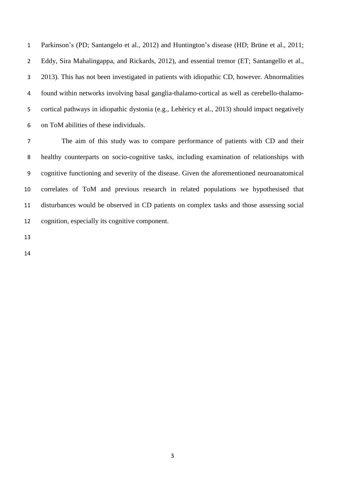Parkinson's (PD; Santangelo et al., 2012) and Huntington's disease (HD; Brüne et al., 2011; Eddy, Sira Mahalingappa, and Rickards, 2012), and essential tremor (ET; Santangello et al., 2013). This has not been investigated in patients with idiopathic CD, however. Abnormalities found within networks involving basal ganglia-thalamo-cortical as well as cerebello-thalamo- cortical pathways in idiopathic dystonia (e.g., Lehèricy et al., 2013) should impact negatively on ToM abilities of these individuals.

 The aim of this study was to compare performance of patients with CD and their healthy counterparts on socio-cognitive tasks, including examination of relationships with cognitive functioning and severity of the disease. Given the aforementioned neuroanatomical correlates of ToM and previous research in related populations we hypothesised that disturbances would be observed in CD patients on complex tasks and those assessing social cognition, especially its cognitive component.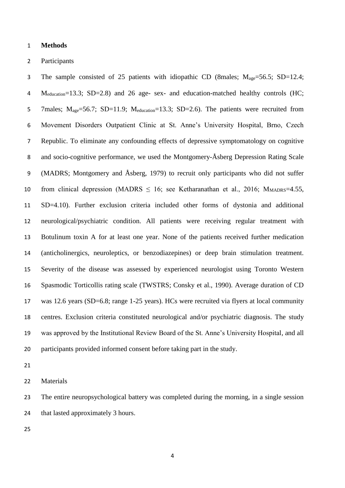#### **Methods**

#### Participants

3 The sample consisted of 25 patients with idiopathic CD (8males;  $M_{\text{age}} = 56.5$ ; SD=12.4; 4 M<sub>education</sub>=13.3; SD=2.8) and 26 age- sex- and education-matched healthy controls (HC; 5 7males; M<sub>age</sub>=56.7; SD=11.9; M<sub>education</sub>=13.3; SD=2.6). The patients were recruited from Movement Disorders Outpatient Clinic at St. Anne's University Hospital, Brno, Czech Republic. To eliminate any confounding effects of depressive symptomatology on cognitive and socio-cognitive performance, we used the Montgomery-Åsberg Depression Rating Scale (MADRS; Montgomery and Åsberg, 1979) to recruit only participants who did not suffer 10 from clinical depression (MADRS  $\leq$  16; see Ketharanathan et al., 2016; M<sub>MADRS</sub>=4.55, SD=4.10). Further exclusion criteria included other forms of dystonia and additional neurological/psychiatric condition. All patients were receiving regular treatment with Botulinum toxin A for at least one year. None of the patients received further medication (anticholinergics, neuroleptics, or benzodiazepines) or deep brain stimulation treatment. Severity of the disease was assessed by experienced neurologist using Toronto Western Spasmodic Torticollis rating scale (TWSTRS; Consky et al., 1990). Average duration of CD was 12.6 years (SD=6.8; range 1-25 years). HCs were recruited via flyers at local community centres. Exclusion criteria constituted neurological and/or psychiatric diagnosis. The study was approved by the Institutional Review Board of the St. Anne's University Hospital, and all participants provided informed consent before taking part in the study.

Materials

 The entire neuropsychological battery was completed during the morning, in a single session 24 that lasted approximately 3 hours.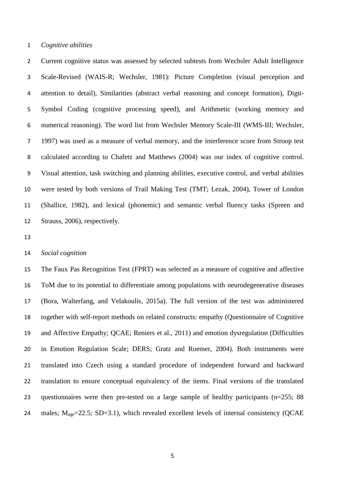### *Cognitive abilities*

 Current cognitive status was assessed by selected subtests from Wechsler Adult Intelligence Scale-Revised (WAIS-R; Wechsler, 1981): Picture Completion (visual perception and attention to detail), Similarities (abstract verbal reasoning and concept formation), Digit- Symbol Coding (cognitive processing speed), and Arithmetic (working memory and numerical reasoning). The word list from Wechsler Memory Scale-III (WMS-III; Wechsler, 1997) was used as a measure of verbal memory, and the interference score from Stroop test calculated according to Chafetz and Matthews (2004) was our index of cognitive control. Visual attention, task switching and planning abilities, executive control, and verbal abilities were tested by both versions of Trail Making Test (TMT; Lezak, 2004), Tower of London (Shallice, 1982), and lexical (phonemic) and semantic verbal fluency tasks (Spreen and Strauss, 2006), respectively.

## *Social cognition*

 The Faux Pas Recognition Test (FPRT) was selected as a measure of cognitive and affective ToM due to its potential to differentiate among populations with neurodegenerative diseases (Bora, Walterfang, and Velakoulis, 2015a). The full version of the test was administered together with self-report methods on related constructs: empathy (Questionnaire of Cognitive and Affective Empathy; QCAE; Reniers et al., 2011) and emotion dysregulation (Difficulties in Emotion Regulation Scale; DERS; Gratz and Roemer, 2004). Both instruments were translated into Czech using a standard procedure of independent forward and backward translation to ensure conceptual equivalency of the items. Final versions of the translated questionnaires were then pre-tested on a large sample of healthy participants (n=255; 88 24 males;  $M_{\text{age}} = 22.5$ ; SD=3.1), which revealed excellent levels of internal consistency (OCAE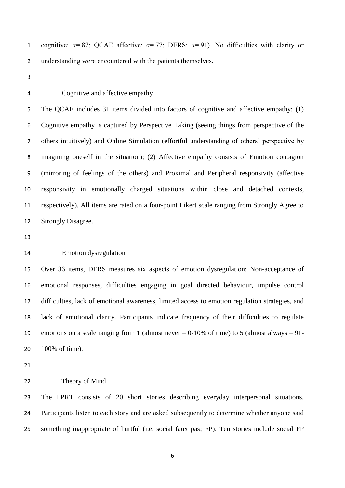1 cognitive:  $\alpha = .87$ ; QCAE affective:  $\alpha = .77$ ; DERS:  $\alpha = .91$ ). No difficulties with clarity or 2 understanding were encountered with the patients themselves.

- 
- 

Cognitive and affective empathy

 The QCAE includes 31 items divided into factors of cognitive and affective empathy: (1) Cognitive empathy is captured by Perspective Taking (seeing things from perspective of the others intuitively) and Online Simulation (effortful understanding of others' perspective by imagining oneself in the situation); (2) Affective empathy consists of Emotion contagion (mirroring of feelings of the others) and Proximal and Peripheral responsivity (affective responsivity in emotionally charged situations within close and detached contexts, respectively). All items are rated on a four-point Likert scale ranging from Strongly Agree to Strongly Disagree.

### Emotion dysregulation

 Over 36 items, DERS measures six aspects of emotion dysregulation: Non-acceptance of emotional responses, difficulties engaging in goal directed behaviour, impulse control difficulties, lack of emotional awareness, limited access to emotion regulation strategies, and lack of emotional clarity. Participants indicate frequency of their difficulties to regulate emotions on a scale ranging from 1 (almost never – 0-10% of time) to 5 (almost always – 91- 100% of time).

#### Theory of Mind

 The FPRT consists of 20 short stories describing everyday interpersonal situations. Participants listen to each story and are asked subsequently to determine whether anyone said something inappropriate of hurtful (i.e. social faux pas; FP). Ten stories include social FP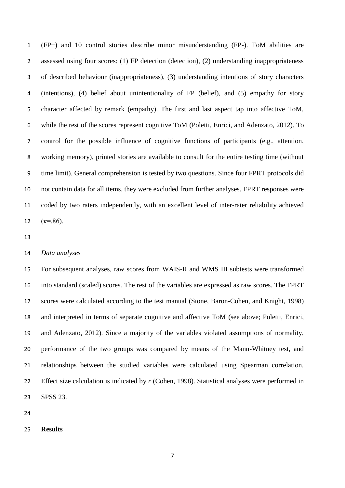(FP+) and 10 control stories describe minor misunderstanding (FP-). ToM abilities are assessed using four scores: (1) FP detection (detection), (2) understanding inappropriateness of described behaviour (inappropriateness), (3) understanding intentions of story characters (intentions), (4) belief about unintentionality of FP (belief), and (5) empathy for story character affected by remark (empathy). The first and last aspect tap into affective ToM, while the rest of the scores represent cognitive ToM (Poletti, Enrici, and Adenzato, 2012). To control for the possible influence of cognitive functions of participants (e.g., attention, working memory), printed stories are available to consult for the entire testing time (without time limit). General comprehension is tested by two questions. Since four FPRT protocols did not contain data for all items, they were excluded from further analyses. FPRT responses were coded by two raters independently, with an excellent level of inter-rater reliability achieved 12  $(k=86)$ .

#### *Data analyses*

 For subsequent analyses, raw scores from WAIS-R and WMS III subtests were transformed into standard (scaled) scores. The rest of the variables are expressed as raw scores. The FPRT scores were calculated according to the test manual (Stone, Baron-Cohen, and Knight, 1998) and interpreted in terms of separate cognitive and affective ToM (see above; Poletti, Enrici, and Adenzato, 2012). Since a majority of the variables violated assumptions of normality, performance of the two groups was compared by means of the Mann-Whitney test, and relationships between the studied variables were calculated using Spearman correlation. Effect size calculation is indicated by *r* (Cohen, 1998). Statistical analyses were performed in SPSS 23.

## **Results**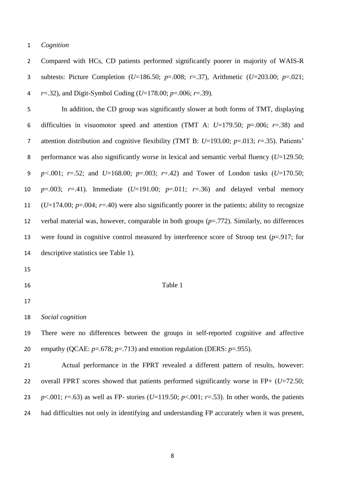## *Cognition*

 Compared with HCs, CD patients performed significantly poorer in majority of WAIS-R subtests: Picture Completion (*U*=186.50; *p*=.008; *r*=.37), Arithmetic (*U*=203.00; *p*=.021; *r*=.32), and Digit-Symbol Coding (*U*=178.00; *p*=.006; *r*=.39).

 In addition, the CD group was significantly slower at both forms of TMT, displaying difficulties in visuomotor speed and attention (TMT A: *U*=179.50; *p*=.006; *r*=.38) and attention distribution and cognitive flexibility (TMT B: *U*=193.00; *p*=.013; *r*=.35). Patients' performance was also significantly worse in lexical and semantic verbal fluency (*U*=129.50; *p<*.001; *r*=.52; and *U*=168.00; *p*=.003; *r*=.42) and Tower of London tasks (*U*=170.50; *p*=.003; *r*=.41). Immediate (*U*=191.00; *p*=.011; *r*=.36) and delayed verbal memory (*U*=174.00; *p*=.004; *r*=.40) were also significantly poorer in the patients; ability to recognize verbal material was, however, comparable in both groups (*p*=.772). Similarly, no differences were found in cognitive control measured by interference score of Stroop test (*p*=.917; for descriptive statistics see Table 1).

- 
- 

# 16 Table 1

*Social cognition*

 There were no differences between the groups in self-reported cognitive and affective 20 empathy (QCAE:  $p=.678$ ;  $p=.713$ ) and emotion regulation (DERS:  $p=.955$ ).

 Actual performance in the FPRT revealed a different pattern of results, however: overall FPRT scores showed that patients performed significantly worse in FP+ (*U*=72.50; *p* <.001; *r*=.63) as well as FP- stories (*U*=119.50; *p* <.001; *r*=.53). In other words, the patients had difficulties not only in identifying and understanding FP accurately when it was present,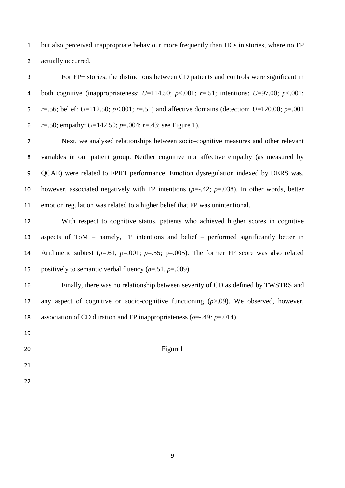but also perceived inappropriate behaviour more frequently than HCs in stories, where no FP actually occurred.

 For FP+ stories, the distinctions between CD patients and controls were significant in both cognitive (inappropriateness: *U*=114.50; *p*<.001; *r*=.51; intentions: *U*=97.00; *p*<.001; *r*=.56; belief: *U*=112.50; *p*<.001; *r*=.51) and affective domains (detection: *U*=120.00; *p*=.001 *r*=.50; empathy: *U*=142.50; *p*=.004; *r*=.43; see Figure 1).

 Next, we analysed relationships between socio-cognitive measures and other relevant variables in our patient group. Neither cognitive nor affective empathy (as measured by QCAE) were related to FPRT performance. Emotion dysregulation indexed by DERS was, however, associated negatively with FP intentions (*ρ*=-.42; *p*=.038). In other words, better emotion regulation was related to a higher belief that FP was unintentional.

 With respect to cognitive status, patients who achieved higher scores in cognitive aspects of ToM – namely, FP intentions and belief – performed significantly better in Arithmetic subtest (*ρ*=.61, *p*=.001; *ρ*=.55; p=.005). The former FP score was also related 15 positively to semantic verbal fluency  $(\rho = .51, p = .009)$ .

 Finally, there was no relationship between severity of CD as defined by TWSTRS and any aspect of cognitive or socio-cognitive functioning (*p*>.09). We observed, however, association of CD duration and FP inappropriateness (*ρ*=-.49*; p*=.014).

- 
- 20 Figure 1
- 
-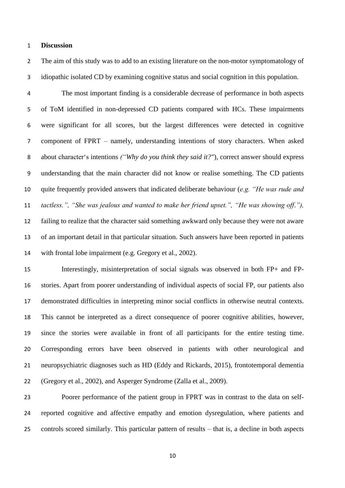## **Discussion**

 The aim of this study was to add to an existing literature on the non-motor symptomatology of idiopathic isolated CD by examining cognitive status and social cognition in this population.

 The most important finding is a considerable decrease of performance in both aspects of ToM identified in non-depressed CD patients compared with HCs. These impairments were significant for all scores, but the largest differences were detected in cognitive component of FPRT – namely, understanding intentions of story characters. When asked about character's intentions *("Why do you think they said it?"*), correct answer should express understanding that the main character did not know or realise something. The CD patients quite frequently provided answers that indicated deliberate behaviour (*e.g. "He was rude and tactless.", "She was jealous and wanted to make her friend upset.", "He was showing off."),* failing to realize that the character said something awkward only because they were not aware of an important detail in that particular situation. Such answers have been reported in patients with frontal lobe impairment (e.g. Gregory et al., 2002).

 Interestingly, misinterpretation of social signals was observed in both FP+ and FP- stories. Apart from poorer understanding of individual aspects of social FP, our patients also demonstrated difficulties in interpreting minor social conflicts in otherwise neutral contexts. This cannot be interpreted as a direct consequence of poorer cognitive abilities, however, since the stories were available in front of all participants for the entire testing time. Corresponding errors have been observed in patients with other neurological and neuropsychiatric diagnoses such as HD (Eddy and Rickards, 2015), frontotemporal dementia (Gregory et al., 2002), and Asperger Syndrome (Zalla et al., 2009).

 Poorer performance of the patient group in FPRT was in contrast to the data on self- reported cognitive and affective empathy and emotion dysregulation, where patients and controls scored similarly. This particular pattern of results – that is, a decline in both aspects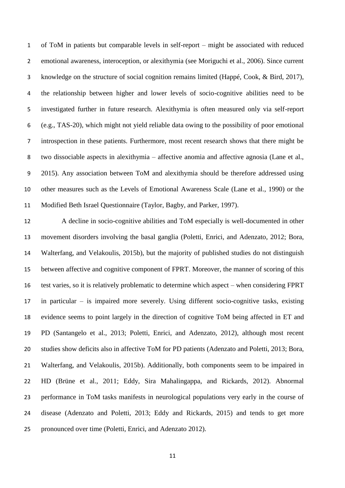of ToM in patients but comparable levels in self-report – might be associated with reduced emotional awareness, interoception, or alexithymia (see Moriguchi et al., 2006). Since current knowledge on the structure of social cognition remains limited (Happé, Cook, & Bird, 2017), the relationship between higher and lower levels of socio-cognitive abilities need to be investigated further in future research. Alexithymia is often measured only via self-report (e.g., TAS-20), which might not yield reliable data owing to the possibility of poor emotional introspection in these patients. Furthermore, most recent research shows that there might be two dissociable aspects in alexithymia – affective anomia and affective agnosia (Lane et al., 2015). Any association between ToM and alexithymia should be therefore addressed using other measures such as the Levels of Emotional Awareness Scale (Lane et al., 1990) or the Modified Beth Israel Questionnaire (Taylor, Bagby, and Parker, 1997).

 A decline in socio-cognitive abilities and ToM especially is well-documented in other movement disorders involving the basal ganglia (Poletti, Enrici, and Adenzato, 2012; Bora, Walterfang, and Velakoulis, 2015b), but the majority of published studies do not distinguish between affective and cognitive component of FPRT. Moreover, the manner of scoring of this test varies, so it is relatively problematic to determine which aspect – when considering FPRT in particular – is impaired more severely. Using different socio-cognitive tasks, existing evidence seems to point largely in the direction of cognitive ToM being affected in ET and PD (Santangelo et al., 2013; Poletti, Enrici, and Adenzato, 2012), although most recent studies show deficits also in affective ToM for PD patients (Adenzato and Poletti, 2013; Bora, Walterfang, and Velakoulis, 2015b). Additionally, both components seem to be impaired in HD (Brüne et al., 2011; Eddy, Sira Mahalingappa, and Rickards, 2012). Abnormal performance in ToM tasks manifests in neurological populations very early in the course of disease (Adenzato and Poletti, 2013; Eddy and Rickards, 2015) and tends to get more pronounced over time (Poletti, Enrici, and Adenzato 2012).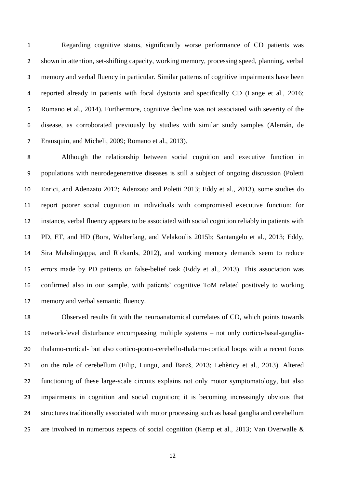Regarding cognitive status, significantly worse performance of CD patients was shown in attention, set-shifting capacity, working memory, processing speed, planning, verbal memory and verbal fluency in particular. Similar patterns of cognitive impairments have been reported already in patients with focal dystonia and specifically CD (Lange et al., 2016; Romano et al., 2014). Furthermore, cognitive decline was not associated with severity of the disease, as corroborated previously by studies with similar study samples (Alemán, de Erausquin, and Micheli, 2009; Romano et al., 2013).

 Although the relationship between social cognition and executive function in populations with neurodegenerative diseases is still a subject of ongoing discussion (Poletti Enrici, and Adenzato 2012; Adenzato and Poletti 2013; Eddy et al., 2013), some studies do report poorer social cognition in individuals with compromised executive function; for instance, verbal fluency appears to be associated with social cognition reliably in patients with PD, ET, and HD (Bora, Walterfang, and Velakoulis 2015b; Santangelo et al., 2013; Eddy, Sira Mahslingappa, and Rickards, 2012), and working memory demands seem to reduce errors made by PD patients on false-belief task (Eddy et al., 2013). This association was confirmed also in our sample, with patients' cognitive ToM related positively to working memory and verbal semantic fluency.

 Observed results fit with the neuroanatomical correlates of CD, which points towards network-level disturbance encompassing multiple systems – not only cortico-basal-ganglia- thalamo-cortical- but also cortico-ponto-cerebello-thalamo-cortical loops with a recent focus on the role of cerebellum (Filip, Lungu, and Bareš, 2013; Lehèricy et al., 2013). Altered functioning of these large-scale circuits explains not only motor symptomatology, but also impairments in cognition and social cognition; it is becoming increasingly obvious that structures traditionally associated with motor processing such as basal ganglia and cerebellum are involved in numerous aspects of social cognition (Kemp et al., 2013; Van Overwalle &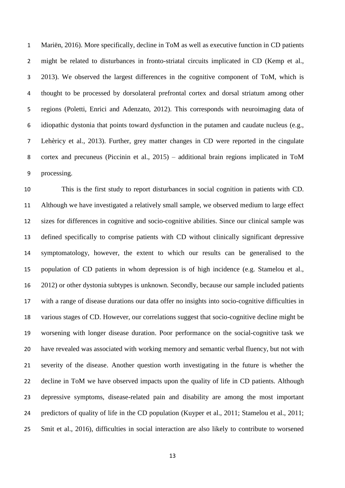Mariën, 2016). More specifically, decline in ToM as well as executive function in CD patients might be related to disturbances in fronto-striatal circuits implicated in CD (Kemp et al., 2013). We observed the largest differences in the cognitive component of ToM, which is thought to be processed by dorsolateral prefrontal cortex and dorsal striatum among other regions (Poletti, Enrici and Adenzato, 2012). This corresponds with neuroimaging data of idiopathic dystonia that points toward dysfunction in the putamen and caudate nucleus (e.g., Lehèricy et al., 2013). Further, grey matter changes in CD were reported in the cingulate cortex and precuneus (Piccinin et al., 2015) – additional brain regions implicated in ToM processing.

 This is the first study to report disturbances in social cognition in patients with CD. Although we have investigated a relatively small sample, we observed medium to large effect sizes for differences in cognitive and socio-cognitive abilities. Since our clinical sample was defined specifically to comprise patients with CD without clinically significant depressive symptomatology, however, the extent to which our results can be generalised to the population of CD patients in whom depression is of high incidence (e.g. Stamelou et al., 2012) or other dystonia subtypes is unknown. Secondly, because our sample included patients with a range of disease durations our data offer no insights into socio-cognitive difficulties in various stages of CD. However, our correlations suggest that socio-cognitive decline might be worsening with longer disease duration. Poor performance on the social-cognitive task we have revealed was associated with working memory and semantic verbal fluency, but not with severity of the disease. Another question worth investigating in the future is whether the decline in ToM we have observed impacts upon the quality of life in CD patients. Although depressive symptoms, disease-related pain and disability are among the most important predictors of quality of life in the CD population (Kuyper et al., 2011; Stamelou et al., 2011; Smit et al., 2016), difficulties in social interaction are also likely to contribute to worsened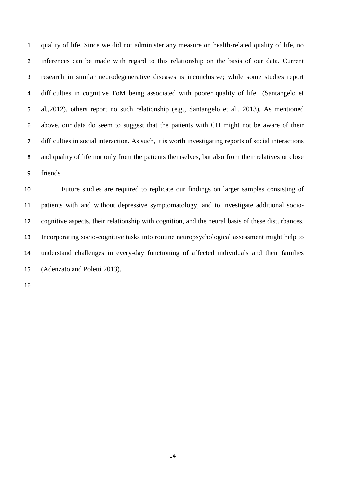quality of life. Since we did not administer any measure on health-related quality of life, no inferences can be made with regard to this relationship on the basis of our data. Current research in similar neurodegenerative diseases is inconclusive; while some studies report difficulties in cognitive ToM being associated with poorer quality of life (Santangelo et al.,2012), others report no such relationship (e.g., Santangelo et al., 2013). As mentioned above, our data do seem to suggest that the patients with CD might not be aware of their difficulties in social interaction. As such, it is worth investigating reports of social interactions and quality of life not only from the patients themselves, but also from their relatives or close friends.

 Future studies are required to replicate our findings on larger samples consisting of patients with and without depressive symptomatology, and to investigate additional socio- cognitive aspects, their relationship with cognition, and the neural basis of these disturbances. Incorporating socio-cognitive tasks into routine neuropsychological assessment might help to understand challenges in every-day functioning of affected individuals and their families (Adenzato and Poletti 2013).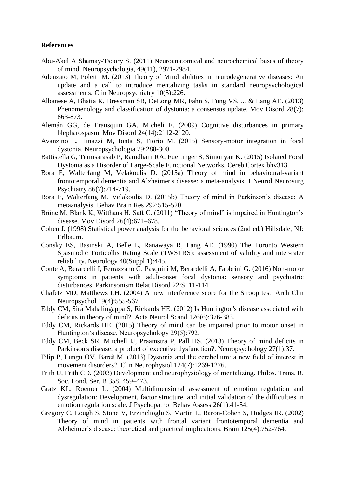## **References**

- Abu-Akel A Shamay-Tsoory S. (2011) Neuroanatomical and neurochemical bases of theory of mind. Neuropsychologia, 49(11), 2971-2984.
- Adenzato M, Poletti M. (2013) Theory of Mind abilities in neurodegenerative diseases: An update and a call to introduce mentalizing tasks in standard neuropsychological assessments. Clin Neuropsychiatry 10(5):226.
- Albanese A, Bhatia K, Bressman SB, DeLong MR, Fahn S, Fung VS, ... & Lang AE. (2013) Phenomenology and classification of dystonia: a consensus update. Mov Disord 28(7): 863-873.
- Alemán GG, de Erausquin GA, Micheli F. (2009) Cognitive disturbances in primary blepharospasm. Mov Disord 24(14):2112-2120.
- Avanzino L, Tinazzi M, Ionta S, Fiorio M. (2015) Sensory-motor integration in focal dystonia. Neuropsychologia 79:288-300.
- Battistella G, Termsarasab P, Ramdhani RA, Fuertinger S, Simonyan K. (2015) Isolated Focal Dystonia as a Disorder of Large-Scale Functional Networks. Cereb Cortex bhv313.
- Bora E, Walterfang M, Velakoulis D. (2015a) Theory of mind in behavioural-variant frontotemporal dementia and Alzheimer's disease: a meta-analysis. J Neurol Neurosurg Psychiatry 86(7):714-719.
- Bora E, Walterfang M, Velakoulis D. (2015b) Theory of mind in Parkinson's disease: A metaanalysis. Behav Brain Res 292:515-520.
- Brüne M, Blank K, Witthaus H, Saft C. (2011) "Theory of mind" is impaired in Huntington's disease. Mov Disord 26(4):671–678.
- Cohen J. (1998) Statistical power analysis for the behavioral sciences (2nd ed.) Hillsdale, NJ: Erlbaum.
- Consky ES, Basinski A, Belle L, Ranawaya R, Lang AE. (1990) The Toronto Western Spasmodic Torticollis Rating Scale (TWSTRS): assessment of validity and inter-rater reliability. Neurology 40(Suppl 1):445.
- Conte A, Berardelli I, Ferrazzano G, Pasquini M, Berardelli A, Fabbrini G. (2016) Non-motor symptoms in patients with adult-onset focal dystonia: sensory and psychiatric disturbances. Parkinsonism Relat Disord 22:S111-114.
- Chafetz MD, Matthews LH. (2004) A new interference score for the Stroop test. Arch Clin Neuropsychol 19(4):555-567.
- Eddy CM, Sira Mahalingappa S, Rickards HE. (2012) Is Huntington's disease associated with deficits in theory of mind?. Acta Neurol Scand 126(6):376-383.
- Eddy CM, Rickards HE. (2015) Theory of mind can be impaired prior to motor onset in Huntington's disease. Neuropsychology 29(5):792.
- Eddy CM, Beck SR, Mitchell IJ, Praamstra P, Pall HS. (2013) Theory of mind deficits in Parkinson's disease: a product of executive dysfunction?. Neuropsychology 27(1):37.
- Filip P, Lungu OV, Bareš M. (2013) Dystonia and the cerebellum: a new field of interest in movement disorders?. Clin Neurophysiol 124(7):1269-1276.
- Frith U, Frith CD. (2003) Development and neurophysiology of mentalizing. Philos. Trans. R. Soc. Lond. Ser. B 358, 459–473.
- Gratz KL, Roemer L. (2004) Multidimensional assessment of emotion regulation and dysregulation: Development, factor structure, and initial validation of the difficulties in emotion regulation scale. J Psychopathol Behav Assess 26(1):41-54.
- Gregory C, Lough S, Stone V, Erzinclioglu S, Martin L, Baron-Cohen S, Hodges JR. (2002) Theory of mind in patients with frontal variant frontotemporal dementia and Alzheimer's disease: theoretical and practical implications. Brain 125(4):752-764.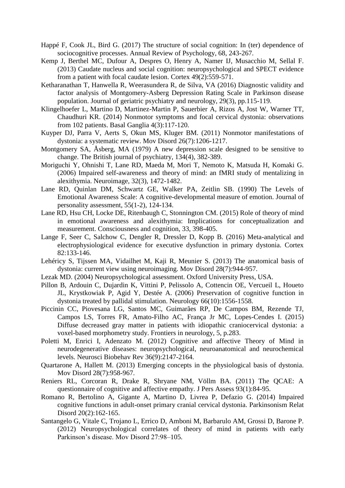- Happé F, Cook JL, Bird G. (2017) The structure of social cognition: In (ter) dependence of sociocognitive processes. Annual Review of Psychology, 68, 243-267.
- Kemp J, Berthel MC, Dufour A, Despres O, Henry A, Namer IJ, Musacchio M, Sellal F. (2013) Caudate nucleus and social cognition: neuropsychological and SPECT evidence from a patient with focal caudate lesion. Cortex 49(2):559-571.
- Ketharanathan T, Hanwella R, Weerasundera R, de Silva, VA (2016) Diagnostic validity and factor analysis of Montgomery-Asberg Depression Rating Scale in Parkinson disease population. Journal of geriatric psychiatry and neurology, 29(3), pp.115-119.
- Klingelhoefer L, Martino D, Martinez-Martin P, Sauerbier A, Rizos A, Jost W, Warner TT, Chaudhuri KR. (2014) Nonmotor symptoms and focal cervical dystonia: observations from 102 patients. Basal Ganglia 4(3):117-120.
- Kuyper DJ, Parra V, Aerts S, Okun MS, Kluger BM. (2011) Nonmotor manifestations of dystonia: a systematic review. Mov Disord 26(7):1206-1217.
- Montgomery SA, Åsberg, MA (1979) A new depression scale designed to be sensitive to change. The British journal of psychiatry, 134(4), 382-389.
- Moriguchi Y, Ohnishi T, Lane RD, Maeda M, Mori T, Nemoto K, Matsuda H, Komaki G. (2006) Impaired self-awareness and theory of mind: an fMRI study of mentalizing in alexithymia. Neuroimage, 32(3), 1472-1482.
- Lane RD, Quinlan DM, Schwartz GE, Walker PA, Zeitlin SB. (1990) The Levels of Emotional Awareness Scale: A cognitive-developmental measure of emotion. Journal of personality assessment, 55(1-2), 124-134.
- Lane RD, Hsu CH, Locke DE, Ritenbaugh C, Stonnington CM. (2015) Role of theory of mind in emotional awareness and alexithymia: Implications for conceptualization and measurement. Consciousness and cognition, 33, 398-405.
- Lange F, Seer C, Salchow C, Dengler R, Dressler D, Kopp B. (2016) Meta-analytical and electrophysiological evidence for executive dysfunction in primary dystonia. Cortex 82:133-146.
- Lehéricy S, Tijssen MA, Vidailhet M, Kaji R, Meunier S. (2013) The anatomical basis of dystonia: current view using neuroimaging. Mov Disord 28(7):944-957.
- Lezak MD. (2004) Neuropsychological assessment. Oxford University Press, USA.
- Pillon B, Ardouin C, Dujardin K, Vittini P, Pelissolo A, Cottencin OE, Vercueil L, Houeto JL, Krystkowiak P, Agid Y, Destée A. (2006) Preservation of cognitive function in dystonia treated by pallidal stimulation. Neurology 66(10):1556-1558.
- Piccinin CC, Piovesana LG, Santos MC, Guimarães RP, De Campos BM, Rezende TJ, Campos LS, Torres FR, Amato-Filho AC, França Jr MC, Lopes-Cendes I. (2015) Diffuse decreased gray matter in patients with idiopathic craniocervical dystonia: a voxel-based morphometry study. Frontiers in neurology, 5, p.283.
- Poletti M, Enrici I, Adenzato M. (2012) Cognitive and affective Theory of Mind in neurodegenerative diseases: neuropsychological, neuroanatomical and neurochemical levels. Neurosci Biobehav Rev 36(9):2147-2164.
- Quartarone A, Hallett M. (2013) Emerging concepts in the physiological basis of dystonia. Mov Disord 28(7):958-967.
- Reniers RL, Corcoran R, Drake R, Shryane NM, Völlm BA. (2011) The QCAE: A questionnaire of cognitive and affective empathy. J Pers Assess 93(1):84-95.
- Romano R, Bertolino A, Gigante A, Martino D, Livrea P, Defazio G. (2014) Impaired cognitive functions in adult-onset primary cranial cervical dystonia. Parkinsonism Relat Disord 20(2):162-165.
- Santangelo G, Vitale C, Trojano L, Errico D, Amboni M, Barbarulo AM, Grossi D, Barone P. (2012) Neuropsychological correlates of theory of mind in patients with early Parkinson's disease. Mov Disord 27:98–105.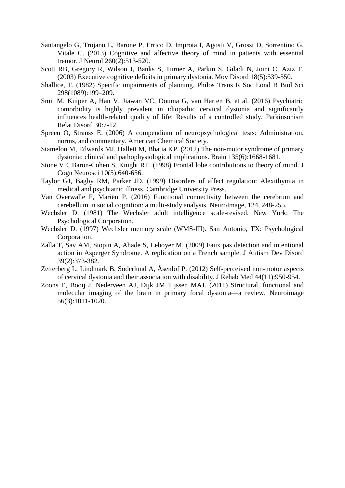- Santangelo G, Trojano L, Barone P, Errico D, Improta I, Agosti V, Grossi D, Sorrentino G, Vitale C. (2013) Cognitive and affective theory of mind in patients with essential tremor. J Neurol 260(2):513-520.
- Scott RB, Gregory R, Wilson J, Banks S, Turner A, Parkin S, Giladi N, Joint C, Aziz T. (2003) Executive cognitive deficits in primary dystonia. Mov Disord 18(5):539-550.
- Shallice, T. (1982) Specific impairments of planning. Philos Trans R Soc Lond B Biol Sci 298(1089):199–209.
- Smit M, Kuiper A, Han V, Jiawan VC, Douma G, van Harten B, et al. (2016) Psychiatric comorbidity is highly prevalent in idiopathic cervical dystonia and significantly influences health-related quality of life: Results of a controlled study. Parkinsonism Relat Disord 30:7-12.
- Spreen O, Strauss E. (2006) A compendium of neuropsychological tests: Administration, norms, and commentary. American Chemical Society.
- Stamelou M, Edwards MJ, Hallett M, Bhatia KP. (2012) The non-motor syndrome of primary dystonia: clinical and pathophysiological implications. Brain 135(6):1668-1681.
- Stone VE, Baron-Cohen S, Knight RT. (1998) Frontal lobe contributions to theory of mind. J Cogn Neurosci 10(5):640-656.
- Taylor GJ, Bagby RM, Parker JD. (1999) Disorders of affect regulation: Alexithymia in medical and psychiatric illness. Cambridge University Press.
- Van Overwalle F, Mariën P. (2016) Functional connectivity between the cerebrum and cerebellum in social cognition: a multi-study analysis. NeuroImage, 124, 248-255.
- Wechsler D. (1981) The Wechsler adult intelligence scale-revised. New York: The Psychological Corporation.
- Wechsler D. (1997) Wechsler memory scale (WMS-III). San Antonio, TX: Psychological Corporation.
- Zalla T, Sav AM, Stopin A, Ahade S, Leboyer M. (2009) Faux pas detection and intentional action in Asperger Syndrome. A replication on a French sample. J Autism Dev Disord 39(2):373-382.
- Zetterberg L, Lindmark B, Söderlund A, Åsenlöf P. (2012) Self-perceived non-motor aspects of cervical dystonia and their association with disability. J Rehab Med 44(11):950-954.
- Zoons E, Booij J, Nederveen AJ, Dijk JM Tijssen MAJ. (2011) Structural, functional and molecular imaging of the brain in primary focal dystonia—a review. Neuroimage 56(3):1011-1020.